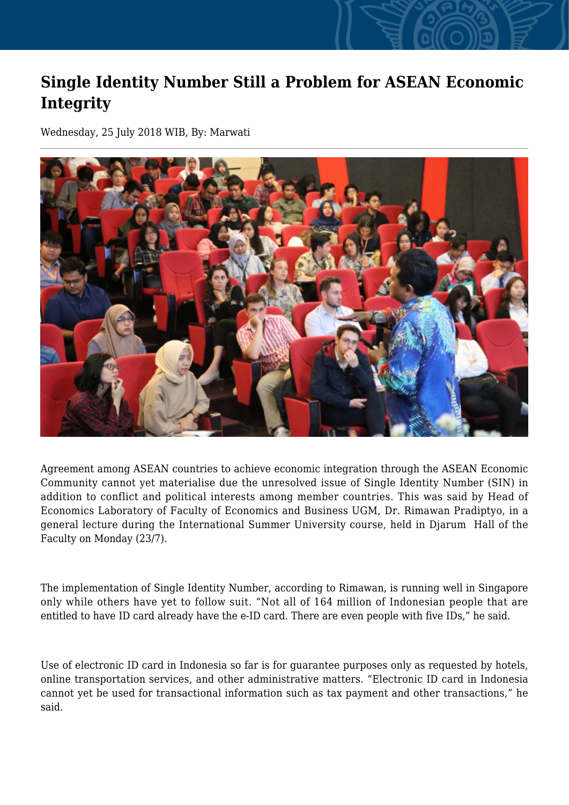## **Single Identity Number Still a Problem for ASEAN Economic Integrity**

Wednesday, 25 July 2018 WIB, By: Marwati



Agreement among ASEAN countries to achieve economic integration through the ASEAN Economic Community cannot yet materialise due the unresolved issue of Single Identity Number (SIN) in addition to conflict and political interests among member countries. This was said by Head of Economics Laboratory of Faculty of Economics and Business UGM, Dr. Rimawan Pradiptyo, in a general lecture during the International Summer University course, held in Djarum Hall of the Faculty on Monday (23/7).

The implementation of Single Identity Number, according to Rimawan, is running well in Singapore only while others have yet to follow suit. "Not all of 164 million of Indonesian people that are entitled to have ID card already have the e-ID card. There are even people with five IDs," he said.

Use of electronic ID card in Indonesia so far is for guarantee purposes only as requested by hotels, online transportation services, and other administrative matters. "Electronic ID card in Indonesia cannot yet be used for transactional information such as tax payment and other transactions," he said.